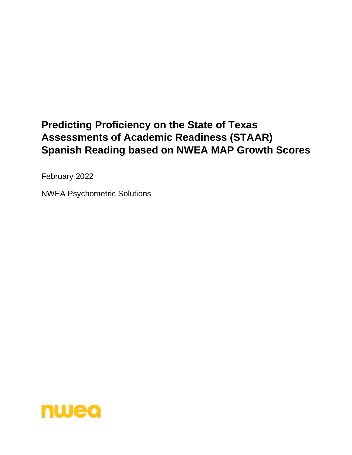# **Predicting Proficiency on the State of Texas Assessments of Academic Readiness (STAAR) Spanish Reading based on NWEA MAP Growth Scores**

February 2022

NWEA Psychometric Solutions

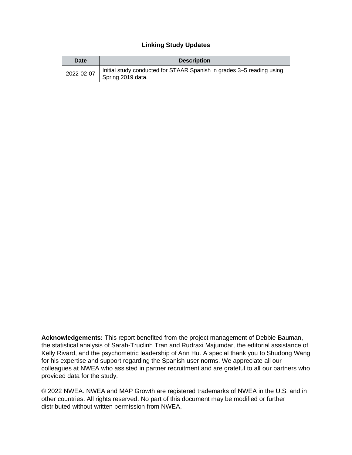#### **Linking Study Updates**

| Date       | <b>Description</b>                                                                         |
|------------|--------------------------------------------------------------------------------------------|
| 2022-02-07 | Initial study conducted for STAAR Spanish in grades 3–5 reading using<br>Spring 2019 data. |

**Acknowledgements:** This report benefited from the project management of Debbie Bauman, the statistical analysis of Sarah-Truclinh Tran and Rudraxi Majumdar, the editorial assistance of Kelly Rivard, and the psychometric leadership of Ann Hu. A special thank you to Shudong Wang for his expertise and support regarding the Spanish user norms. We appreciate all our colleagues at NWEA who assisted in partner recruitment and are grateful to all our partners who provided data for the study.

© 2022 NWEA. NWEA and MAP Growth are registered trademarks of NWEA in the U.S. and in other countries. All rights reserved. No part of this document may be modified or further distributed without written permission from NWEA.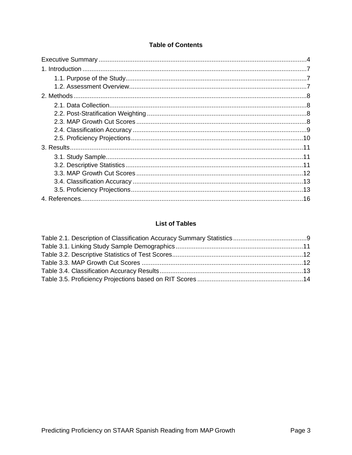## **Table of Contents**

# **List of Tables**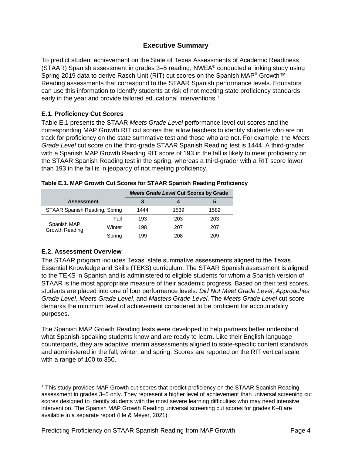# **Executive Summary**

<span id="page-3-0"></span>To predict student achievement on the State of Texas Assessments of Academic Readiness (STAAR) Spanish assessment in grades 3–5 reading, NWEA® conducted a linking study using Spring 2019 data to derive Rasch Unit (RIT) cut scores on the Spanish MAP<sup>®</sup> Growth™ Reading assessments that correspond to the STAAR Spanish performance levels. Educators can use this information to identify students at risk of not meeting state proficiency standards early in the year and provide tailored educational interventions.<sup>1</sup>

## **E.1. Proficiency Cut Scores**

Table E.1 presents the STAAR *Meets Grade Level* performance level cut scores and the corresponding MAP Growth RIT cut scores that allow teachers to identify students who are on track for proficiency on the state summative test and those who are not. For example, the *Meets Grade Level* cut score on the third-grade STAAR Spanish Reading test is 1444. A third-grader with a Spanish MAP Growth Reading RIT score of 193 in the fall is likely to meet proficiency on the STAAR Spanish Reading test in the spring, whereas a third-grader with a RIT score lower than 193 in the fall is in jeopardy of not meeting proficiency.

|                               |        |      | <b>Meets Grade Level Cut Scores by Grade</b> |      |
|-------------------------------|--------|------|----------------------------------------------|------|
| <b>Assessment</b>             |        | 3    |                                              | C    |
| STAAR Spanish Reading, Spring |        | 1444 | 1539                                         | 1582 |
| Spanish MAP<br>Growth Reading | Fall   | 193  | 203                                          | 203  |
|                               | Winter | 198  | 207                                          | 207  |
|                               | Spring | 199  | 208                                          | 209  |

| Table E.1. MAP Growth Cut Scores for STAAR Spanish Reading Proficiency |  |  |  |
|------------------------------------------------------------------------|--|--|--|
|                                                                        |  |  |  |

## **E.2. Assessment Overview**

The STAAR program includes Texas' state summative assessments aligned to the Texas Essential Knowledge and Skills (TEKS) curriculum. The STAAR Spanish assessment is aligned to the TEKS in Spanish and is administered to eligible students for whom a Spanish version of STAAR is the most appropriate measure of their academic progress. Based on their test scores, students are placed into one of four performance levels: *Did Not Meet Grade Level*, *Approaches Grade Level*, *Meets Grade Level*, and *Masters Grade Level*. The *Meets Grade Level* cut score demarks the minimum level of achievement considered to be proficient for accountability purposes.

The Spanish MAP Growth Reading tests were developed to help partners better understand what Spanish-speaking students know and are ready to learn. Like their English language counterparts, they are adaptive interim assessments aligned to state-specific content standards and administered in the fall, winter, and spring. Scores are reported on the RIT vertical scale with a range of 100 to 350.

<sup>1</sup> This study provides MAP Growth cut scores that predict proficiency on the STAAR Spanish Reading assessment in grades 3–5 only. They represent a higher level of achievement than universal screening cut scores designed to identify students with the most severe learning difficulties who may need intensive intervention. The Spanish MAP Growth Reading universal screening cut scores for grades K–8 are available in a separate report (He & Meyer, 2021).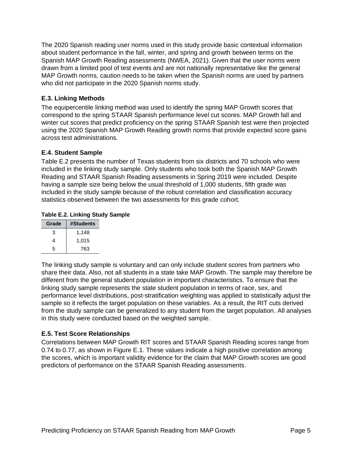The 2020 Spanish reading user norms used in this study provide basic contextual information about student performance in the fall, winter, and spring and growth between terms on the Spanish MAP Growth Reading assessments (NWEA, 2021). Given that the user norms were drawn from a limited pool of test events and are not nationally representative like the general MAP Growth norms, caution needs to be taken when the Spanish norms are used by partners who did not participate in the 2020 Spanish norms study.

#### **E.3. Linking Methods**

The equipercentile linking method was used to identify the spring MAP Growth scores that correspond to the spring STAAR Spanish performance level cut scores. MAP Growth fall and winter cut scores that predict proficiency on the spring STAAR Spanish test were then projected using the 2020 Spanish MAP Growth Reading growth norms that provide expected score gains across test administrations.

#### **E.4. Student Sample**

Table E.2 presents the number of Texas students from six districts and 70 schools who were included in the linking study sample. Only students who took both the Spanish MAP Growth Reading and STAAR Spanish Reading assessments in Spring 2019 were included. Despite having a sample size being below the usual threshold of 1,000 students, fifth grade was included in the study sample because of the robust correlation and classification accuracy statistics observed between the two assessments for this grade cohort.

#### **Table E.2. Linking Study Sample**

| Grade | #Students |
|-------|-----------|
| 3     | 1,148     |
| 4     | 1,015     |
| 5     | 763       |

The linking study sample is voluntary and can only include student scores from partners who share their data. Also, not all students in a state take MAP Growth. The sample may therefore be different from the general student population in important characteristics. To ensure that the linking study sample represents the state student population in terms of race, sex, and performance level distributions, post-stratification weighting was applied to statistically adjust the sample so it reflects the target population on these variables. As a result, the RIT cuts derived from the study sample can be generalized to any student from the target population. All analyses in this study were conducted based on the weighted sample.

## **E.5. Test Score Relationships**

Correlations between MAP Growth RIT scores and STAAR Spanish Reading scores range from 0.74 to 0.77, as shown in Figure E.1. These values indicate a high positive correlation among the scores, which is important validity evidence for the claim that MAP Growth scores are good predictors of performance on the STAAR Spanish Reading assessments.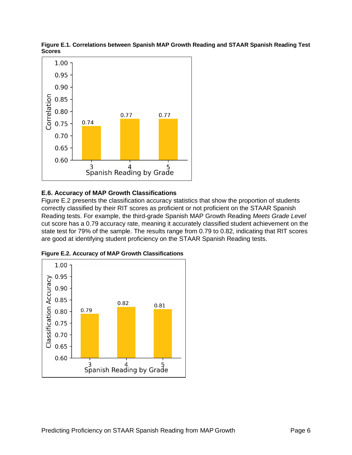

**Figure E.1. Correlations between Spanish MAP Growth Reading and STAAR Spanish Reading Test Scores**

## **E.6. Accuracy of MAP Growth Classifications**

Figure E.2 presents the classification accuracy statistics that show the proportion of students correctly classified by their RIT scores as proficient or not proficient on the STAAR Spanish Reading tests. For example, the third-grade Spanish MAP Growth Reading *Meets Grade Level* cut score has a 0.79 accuracy rate, meaning it accurately classified student achievement on the state test for 79% of the sample. The results range from 0.79 to 0.82, indicating that RIT scores are good at identifying student proficiency on the STAAR Spanish Reading tests.



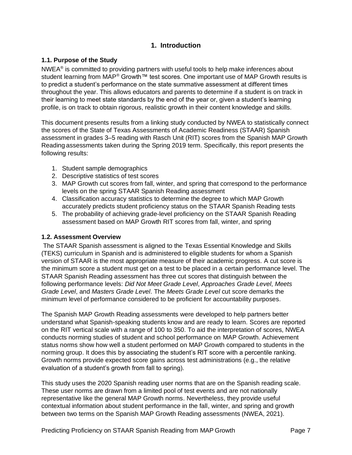# **1. Introduction**

#### <span id="page-6-1"></span><span id="page-6-0"></span>**1.1. Purpose of the Study**

 $NWEA<sup>®</sup>$  is committed to providing partners with useful tools to help make inferences about student learning from MAP<sup>®</sup> Growth™ test scores. One important use of MAP Growth results is to predict a student's performance on the state summative assessment at different times throughout the year. This allows educators and parents to determine if a student is on track in their learning to meet state standards by the end of the year or, given a student's learning profile, is on track to obtain rigorous, realistic growth in their content knowledge and skills.

This document presents results from a linking study conducted by NWEA to statistically connect the scores of the State of Texas Assessments of Academic Readiness (STAAR) Spanish assessment in grades 3–5 reading with Rasch Unit (RIT) scores from the Spanish MAP Growth Reading assessments taken during the Spring 2019 term. Specifically, this report presents the following results:

- 1. Student sample demographics
- 2. Descriptive statistics of test scores
- 3. MAP Growth cut scores from fall, winter, and spring that correspond to the performance levels on the spring STAAR Spanish Reading assessment
- 4. Classification accuracy statistics to determine the degree to which MAP Growth accurately predicts student proficiency status on the STAAR Spanish Reading tests
- 5. The probability of achieving grade-level proficiency on the STAAR Spanish Reading assessment based on MAP Growth RIT scores from fall, winter, and spring

#### <span id="page-6-2"></span>**1.2. Assessment Overview**

The STAAR Spanish assessment is aligned to the Texas Essential Knowledge and Skills (TEKS) curriculum in Spanish and is administered to eligible students for whom a Spanish version of STAAR is the most appropriate measure of their academic progress. A cut score is the minimum score a student must get on a test to be placed in a certain performance level. The STAAR Spanish Reading assessment has three cut scores that distinguish between the following performance levels: *Did Not Meet Grade Level*, *Approaches Grade Level*, *Meets Grade Level*, and *Masters Grade Level*. The *Meets Grade Level* cut score demarks the minimum level of performance considered to be proficient for accountability purposes.

The Spanish MAP Growth Reading assessments were developed to help partners better understand what Spanish-speaking students know and are ready to learn. Scores are reported on the RIT vertical scale with a range of 100 to 350. To aid the interpretation of scores, NWEA conducts norming studies of student and school performance on MAP Growth. Achievement status norms show how well a student performed on MAP Growth compared to students in the norming group. It does this by associating the student's RIT score with a percentile ranking. Growth norms provide expected score gains across test administrations (e.g., the relative evaluation of a student's growth from fall to spring).

This study uses the 2020 Spanish reading user norms that are on the Spanish reading scale. These user norms are drawn from a limited pool of test events and are not nationally representative like the general MAP Growth norms. Nevertheless, they provide useful contextual information about student performance in the fall, winter, and spring and growth between two terms on the Spanish MAP Growth Reading assessments (NWEA, 2021).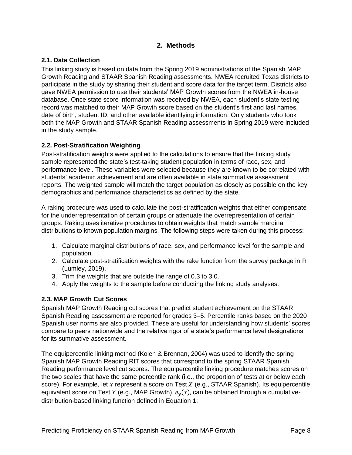## **2. Methods**

## <span id="page-7-1"></span><span id="page-7-0"></span>**2.1. Data Collection**

This linking study is based on data from the Spring 2019 administrations of the Spanish MAP Growth Reading and STAAR Spanish Reading assessments. NWEA recruited Texas districts to participate in the study by sharing their student and score data for the target term. Districts also gave NWEA permission to use their students' MAP Growth scores from the NWEA in-house database. Once state score information was received by NWEA, each student's state testing record was matched to their MAP Growth score based on the student's first and last names, date of birth, student ID, and other available identifying information. Only students who took both the MAP Growth and STAAR Spanish Reading assessments in Spring 2019 were included in the study sample.

#### <span id="page-7-2"></span>**2.2. Post-Stratification Weighting**

Post-stratification weights were applied to the calculations to ensure that the linking study sample represented the state's test-taking student population in terms of race, sex, and performance level. These variables were selected because they are known to be correlated with students' academic achievement and are often available in state summative assessment reports. The weighted sample will match the target population as closely as possible on the key demographics and performance characteristics as defined by the state.

A raking procedure was used to calculate the post-stratification weights that either compensate for the underrepresentation of certain groups or attenuate the overrepresentation of certain groups. Raking uses iterative procedures to obtain weights that match sample marginal distributions to known population margins. The following steps were taken during this process:

- 1. Calculate marginal distributions of race, sex, and performance level for the sample and population.
- 2. Calculate post-stratification weights with the rake function from the survey package in R (Lumley, 2019).
- 3. Trim the weights that are outside the range of 0.3 to 3.0.
- 4. Apply the weights to the sample before conducting the linking study analyses.

## <span id="page-7-3"></span>**2.3. MAP Growth Cut Scores**

Spanish MAP Growth Reading cut scores that predict student achievement on the STAAR Spanish Reading assessment are reported for grades 3–5. Percentile ranks based on the 2020 Spanish user norms are also provided. These are useful for understanding how students' scores compare to peers nationwide and the relative rigor of a state's performance level designations for its summative assessment.

The equipercentile linking method (Kolen & Brennan, 2004) was used to identify the spring Spanish MAP Growth Reading RIT scores that correspond to the spring STAAR Spanish Reading performance level cut scores. The equipercentile linking procedure matches scores on the two scales that have the same percentile rank (i.e., the proportion of tests at or below each score). For example, let x represent a score on Test  $X$  (e.g., STAAR Spanish). Its equipercentile equivalent score on Test Y (e.g., MAP Growth),  $e_y(x)$ , can be obtained through a cumulativedistribution-based linking function defined in Equation 1: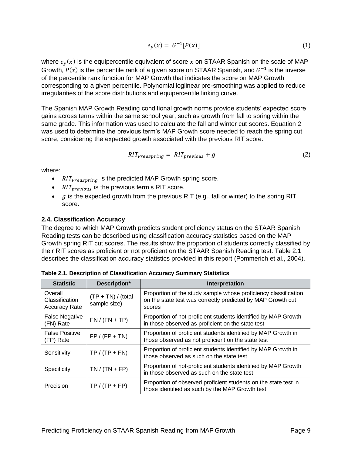$$
e_y(x) = G^{-1}[P(x)] \tag{1}
$$

where  $e_y(x)$  is the equipercentile equivalent of score  $x$  on STAAR Spanish on the scale of MAP Growth,  $P(x)$  is the percentile rank of a given score on STAAR Spanish, and  $G^{-1}$  is the inverse of the percentile rank function for MAP Growth that indicates the score on MAP Growth corresponding to a given percentile. Polynomial loglinear pre-smoothing was applied to reduce irregularities of the score distributions and equipercentile linking curve.

The Spanish MAP Growth Reading conditional growth norms provide students' expected score gains across terms within the same school year, such as growth from fall to spring within the same grade. This information was used to calculate the fall and winter cut scores. Equation 2 was used to determine the previous term's MAP Growth score needed to reach the spring cut score, considering the expected growth associated with the previous RIT score:

$$
RIT_{PredSpring} = RIT_{previous} + g \tag{2}
$$

where:

- $\frac{R}{T_{predSpring}}$  is the predicted MAP Growth spring score.
- $\frac{R}{T}$   $\frac{R}{T}$   $\frac{P}{T}$  is the previous term's RIT score.
- $\alpha$  is the expected growth from the previous RIT (e.g., fall or winter) to the spring RIT score.

#### <span id="page-8-0"></span>**2.4. Classification Accuracy**

The degree to which MAP Growth predicts student proficiency status on the STAAR Spanish Reading tests can be described using classification accuracy statistics based on the MAP Growth spring RIT cut scores. The results show the proportion of students correctly classified by their RIT scores as proficient or not proficient on the STAAR Spanish Reading test. [Table 2.1](#page-8-1) describes the classification accuracy statistics provided in this report (Pommerich et al., 2004).

| <b>Statistic</b>                                  | Description*                          | Interpretation                                                                                                                           |
|---------------------------------------------------|---------------------------------------|------------------------------------------------------------------------------------------------------------------------------------------|
| Overall<br>Classification<br><b>Accuracy Rate</b> | $(TP + TN) / (total)$<br>sample size) | Proportion of the study sample whose proficiency classification<br>on the state test was correctly predicted by MAP Growth cut<br>scores |
| <b>False Negative</b><br>(FN) Rate                | $FN / (FN + TP)$                      | Proportion of not-proficient students identified by MAP Growth<br>in those observed as proficient on the state test                      |
| <b>False Positive</b><br>(FP) Rate                | $FP / (FP + TN)$                      | Proportion of proficient students identified by MAP Growth in<br>those observed as not proficient on the state test                      |
| Sensitivity                                       | $TP / (TP + FN)$                      | Proportion of proficient students identified by MAP Growth in<br>those observed as such on the state test                                |
| Specificity                                       | $TN / (TN + FP)$                      | Proportion of not-proficient students identified by MAP Growth<br>in those observed as such on the state test                            |
| Precision                                         | $TP / (TP + FP)$                      | Proportion of observed proficient students on the state test in<br>those identified as such by the MAP Growth test                       |

<span id="page-8-1"></span>**Table 2.1. Description of Classification Accuracy Summary Statistics**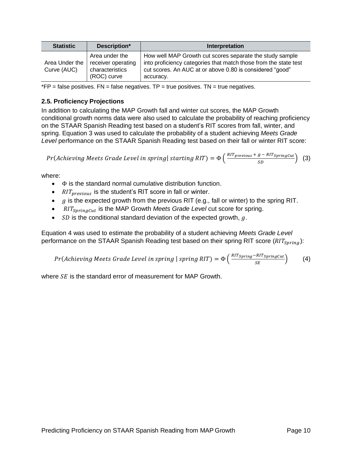| <b>Statistic</b>              | Description*                                                           | Interpretation                                                                                                                                                                                        |
|-------------------------------|------------------------------------------------------------------------|-------------------------------------------------------------------------------------------------------------------------------------------------------------------------------------------------------|
| Area Under the<br>Curve (AUC) | Area under the<br>receiver operating<br>characteristics<br>(ROC) curve | How well MAP Growth cut scores separate the study sample<br>into proficiency categories that match those from the state test<br>cut scores. An AUC at or above 0.80 is considered "good"<br>accuracy. |

 $*FP = false$  positives.  $FN = false$  negatives. TP = true positives. TN = true negatives.

#### <span id="page-9-0"></span>**2.5. Proficiency Projections**

In addition to calculating the MAP Growth fall and winter cut scores, the MAP Growth conditional growth norms data were also used to calculate the probability of reaching proficiency on the STAAR Spanish Reading test based on a student's RIT scores from fall, winter, and spring. Equation 3 was used to calculate the probability of a student achieving *Meets Grade Level* performance on the STAAR Spanish Reading test based on their fall or winter RIT score:

$$
Pr(Achieving \textit{Meets Grade Level in spring} | starting \textit{RIT}) = \Phi\left(\frac{RIT_{previous} + g - RIT_{SpringCut}}{SD}\right) \tag{3}
$$

where:

- $\bullet$   $\Phi$  is the standard normal cumulative distribution function.
- $RIT_{previous}$  is the student's RIT score in fall or winter.
- $\bullet$  *g* is the expected growth from the previous RIT (e.g., fall or winter) to the spring RIT.
- RIT<sub>SpringCut</sub> is the MAP Growth *Meets Grade Level* cut score for spring.
- $SD$  is the conditional standard deviation of the expected growth,  $g$ .

Equation 4 was used to estimate the probability of a student achieving *Meets Grade Level* performance on the STAAR Spanish Reading test based on their spring RIT score ( $RIT_{\text{Snring}}$ ):

$$
Pr(Achieving \textit{Meets Grade Level in spring } | \textit{spring RIT}) = \Phi\left(\frac{RIT_{Spring} - RIT_{SpringCut}}{SE}\right) \tag{4}
$$

where  $SE$  is the standard error of measurement for MAP Growth.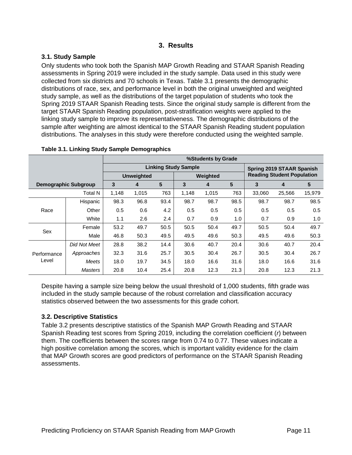## **3. Results**

## <span id="page-10-1"></span><span id="page-10-0"></span>**3.1. Study Sample**

Only students who took both the Spanish MAP Growth Reading and STAAR Spanish Reading assessments in Spring 2019 were included in the study sample. Data used in this study were collected from six districts and 70 schools in Texas. [Table 3.1](#page-10-3) presents the demographic distributions of race, sex, and performance level in both the original unweighted and weighted study sample, as well as the distributions of the target population of students who took the Spring 2019 STAAR Spanish Reading tests. Since the original study sample is different from the target STAAR Spanish Reading population, post-stratification weights were applied to the linking study sample to improve its representativeness. The demographic distributions of the sample after weighting are almost identical to the STAAR Spanish Reading student population distributions. The analyses in this study were therefore conducted using the weighted sample.

|                      |                             | %Students by Grade |       |      |                             |       |      |                                   |                           |        |  |
|----------------------|-----------------------------|--------------------|-------|------|-----------------------------|-------|------|-----------------------------------|---------------------------|--------|--|
|                      |                             |                    |       |      | <b>Linking Study Sample</b> |       |      |                                   | Spring 2019 STAAR Spanish |        |  |
|                      |                             | <b>Unweighted</b>  |       |      | Weighted                    |       |      | <b>Reading Student Population</b> |                           |        |  |
|                      | <b>Demographic Subgroup</b> | 3                  | 4     | 5    | 3                           | 4     | 5    | 3                                 | 4                         | 5      |  |
|                      | Total N                     | 1,148              | 1,015 | 763  | 1.148                       | 1.015 | 763  | 33,060                            | 25.566                    | 15,979 |  |
|                      | Hispanic                    | 98.3               | 96.8  | 93.4 | 98.7                        | 98.7  | 98.5 | 98.7                              | 98.7                      | 98.5   |  |
| Race                 | Other                       | 0.5                | 0.6   | 4.2  | 0.5                         | 0.5   | 0.5  | 0.5                               | 0.5                       | 0.5    |  |
|                      | White                       | 1.1                | 2.6   | 2.4  | 0.7                         | 0.9   | 1.0  | 0.7                               | 0.9                       | 1.0    |  |
| Sex                  | Female                      | 53.2               | 49.7  | 50.5 | 50.5                        | 50.4  | 49.7 | 50.5                              | 50.4                      | 49.7   |  |
|                      | Male                        | 46.8               | 50.3  | 49.5 | 49.5                        | 49.6  | 50.3 | 49.5                              | 49.6                      | 50.3   |  |
|                      | Did Not Meet                | 28.8               | 38.2  | 14.4 | 30.6                        | 40.7  | 20.4 | 30.6                              | 40.7                      | 20.4   |  |
| Performance<br>Level | Approaches                  | 32.3               | 31.6  | 25.7 | 30.5                        | 30.4  | 26.7 | 30.5                              | 30.4                      | 26.7   |  |
|                      | Meets                       | 18.0               | 19.7  | 34.5 | 18.0                        | 16.6  | 31.6 | 18.0                              | 16.6                      | 31.6   |  |
|                      | Masters                     | 20.8               | 10.4  | 25.4 | 20.8                        | 12.3  | 21.3 | 20.8                              | 12.3                      | 21.3   |  |

#### <span id="page-10-3"></span>**Table 3.1. Linking Study Sample Demographics**

Despite having a sample size being below the usual threshold of 1,000 students, fifth grade was included in the study sample because of the robust correlation and classification accuracy statistics observed between the two assessments for this grade cohort.

# <span id="page-10-2"></span>**3.2. Descriptive Statistics**

[Table 3.2](#page-11-1) presents descriptive statistics of the Spanish MAP Growth Reading and STAAR Spanish Reading test scores from Spring 2019, including the correlation coefficient (*r*) between them. The coefficients between the scores range from 0.74 to 0.77. These values indicate a high positive correlation among the scores, which is important validity evidence for the claim that MAP Growth scores are good predictors of performance on the STAAR Spanish Reading assessments.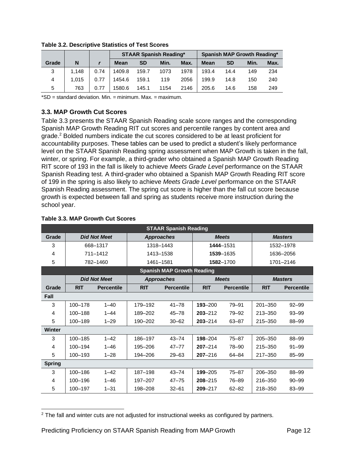|       |       |      |             |           | <b>STAAR Spanish Reading*</b> |      |             | Spanish MAP Growth Reading* |      |      |
|-------|-------|------|-------------|-----------|-------------------------------|------|-------------|-----------------------------|------|------|
| Grade | N     |      | <b>Mean</b> | <b>SD</b> | Min.                          | Max. | <b>Mean</b> | <b>SD</b>                   | Min. | Max. |
| 3     | 1.148 | 0.74 | 1409.8      | 159.7     | 1073                          | 1978 | 193.4       | 14.4                        | 149  | 234  |
| 4     | 1.015 | 0.77 | 1454.6      | 159.1     | 119                           | 2056 | 199.9       | 14.8                        | 150  | 240  |
| 5     | 763   | 0.77 | 1580.6      | 145.1     | 1154                          | 2146 | 205.6       | 14.6                        | 158  | 249  |

<span id="page-11-1"></span>**Table 3.2. Descriptive Statistics of Test Scores**

\*SD = standard deviation. Min. = minimum. Max. = maximum.

#### <span id="page-11-0"></span>**3.3. MAP Growth Cut Scores**

[Table 3.3](#page-11-2) presents the STAAR Spanish Reading scale score ranges and the corresponding Spanish MAP Growth Reading RIT cut scores and percentile ranges by content area and grade. <sup>2</sup> Bolded numbers indicate the cut scores considered to be at least proficient for accountability purposes. These tables can be used to predict a student's likely performance level on the STAAR Spanish Reading spring assessment when MAP Growth is taken in the fall, winter, or spring. For example, a third-grader who obtained a Spanish MAP Growth Reading RIT score of 193 in the fall is likely to achieve *Meets Grade Level* performance on the STAAR Spanish Reading test. A third-grader who obtained a Spanish MAP Growth Reading RIT score of 199 in the spring is also likely to achieve *Meets Grade Level* performance on the STAAR Spanish Reading assessment. The spring cut score is higher than the fall cut score because growth is expected between fall and spring as students receive more instruction during the school year.

| <b>STAAR Spanish Reading</b> |             |                     |            |                                   |             |                   |             |                   |  |
|------------------------------|-------------|---------------------|------------|-----------------------------------|-------------|-------------------|-------------|-------------------|--|
| Grade                        |             | <b>Did Not Meet</b> |            | <b>Approaches</b>                 |             | <b>Meets</b>      |             | <b>Masters</b>    |  |
| 3                            |             | 668-1317            |            | 1318-1443                         |             | 1444-1531         |             | 1532-1978         |  |
| 4                            |             | 711-1412            |            | 1413-1538                         |             | 1539-1635         |             | 1636-2056         |  |
| 5                            |             | 782-1460            |            | 1461-1581                         |             | 1582-1700         |             | 1701-2146         |  |
|                              |             |                     |            | <b>Spanish MAP Growth Reading</b> |             |                   |             |                   |  |
|                              |             | <b>Did Not Meet</b> |            | <b>Approaches</b>                 |             | <b>Meets</b>      |             | <b>Masters</b>    |  |
| Grade                        | <b>RIT</b>  | <b>Percentile</b>   | <b>RIT</b> | <b>Percentile</b>                 | <b>RIT</b>  | <b>Percentile</b> | <b>RIT</b>  | <b>Percentile</b> |  |
| Fall                         |             |                     |            |                                   |             |                   |             |                   |  |
| 3                            | 100-178     | $1 - 40$            | 179-192    | $41 - 78$                         | $193 - 200$ | $79 - 91$         | $201 - 350$ | $92 - 99$         |  |
| 4                            | 100-188     | $1 - 44$            | 189-202    | $45 - 78$                         | $203 - 212$ | 79-92             | 213-350     | $93 - 99$         |  |
| 5                            | 100-189     | $1 - 29$            | 190-202    | $30 - 62$                         | $203 - 214$ | 63-87             |             | 88-99             |  |
| Winter                       |             |                     |            |                                   |             |                   |             |                   |  |
| 3                            | 100-185     | $1 - 42$            | 186-197    | $43 - 74$                         | 198-204     | $75 - 87$         | 205-350     | 88-99             |  |
| 4                            | 100-194     | $1 - 46$            | 195-206    | $47 - 77$                         | $207 - 214$ | 78-90             | 215-350     | $91 - 99$         |  |
| 5                            | $100 - 193$ | $1 - 28$            | 194-206    | $29 - 63$                         | $207 - 216$ | $64 - 84$         | $217 - 350$ | $85 - 99$         |  |
| <b>Spring</b>                |             |                     |            |                                   |             |                   |             |                   |  |
| 3                            | 100-186     | $1 - 42$            | 187-198    | $43 - 74$                         | 199-205     | $75 - 87$         | 206-350     | 88-99             |  |
| 4                            | 100-196     | $1 - 46$            | 197-207    | $47 - 75$                         | $208 - 215$ | 76-89             | 216-350     | $90 - 99$         |  |
| 5                            | 100-197     | $1 - 31$            | 198-208    | $32 - 61$                         | $209 - 217$ | $62 - 82$         | 218-350     | 83-99             |  |

#### <span id="page-11-2"></span>**Table 3.3. MAP Growth Cut Scores**

 $2$  The fall and winter cuts are not adjusted for instructional weeks as configured by partners.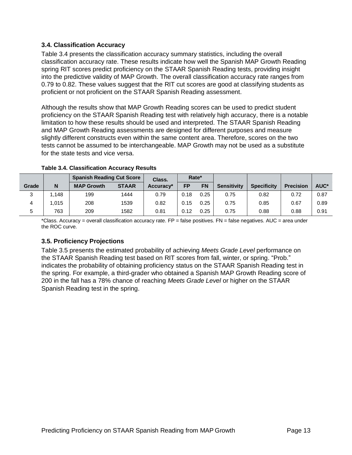#### <span id="page-12-0"></span>**3.4. Classification Accuracy**

[Table 3.4](#page-12-2) presents the classification accuracy summary statistics, including the overall classification accuracy rate. These results indicate how well the Spanish MAP Growth Reading spring RIT scores predict proficiency on the STAAR Spanish Reading tests, providing insight into the predictive validity of MAP Growth. The overall classification accuracy rate ranges from 0.79 to 0.82. These values suggest that the RIT cut scores are good at classifying students as proficient or not proficient on the STAAR Spanish Reading assessment.

Although the results show that MAP Growth Reading scores can be used to predict student proficiency on the STAAR Spanish Reading test with relatively high accuracy, there is a notable limitation to how these results should be used and interpreted. The STAAR Spanish Reading and MAP Growth Reading assessments are designed for different purposes and measure slightly different constructs even within the same content area. Therefore, scores on the two tests cannot be assumed to be interchangeable. MAP Growth may not be used as a substitute for the state tests and vice versa.

|       |       | <b>Spanish Reading Cut Score</b> |              | <b>Class.</b> | Rate*     |           |                    |                    |                  |      |
|-------|-------|----------------------------------|--------------|---------------|-----------|-----------|--------------------|--------------------|------------------|------|
| Grade | N     | <b>MAP Growth</b>                | <b>STAAR</b> | Accuracy*     | <b>FP</b> | <b>FN</b> | <b>Sensitivity</b> | <b>Specificity</b> | <b>Precision</b> | AUC* |
| C     | .148. | 199                              | 1444         | 0.79          | 0.18      | 0.25      | 0.75               | 0.82               | 0.72             | 0.87 |
|       | .015  | 208                              | 1539         | 0.82          | 0.15      | 0.25      | 0.75               | 0.85               | 0.67             | 0.89 |
| 5     | 763   | 209                              | 1582         | 0.81          | 0.12      | 0.25      | 0.75               | 0.88               | 0.88             | 0.91 |

#### <span id="page-12-2"></span>**Table 3.4. Classification Accuracy Results**

 $*$ Class. Accuracy = overall classification accuracy rate. FP = false positives. FN = false negatives. AUC = area under the ROC curve.

## <span id="page-12-1"></span>**3.5. Proficiency Projections**

[Table 3.5](#page-13-0) presents the estimated probability of achieving *Meets Grade Level* performance on the STAAR Spanish Reading test based on RIT scores from fall, winter, or spring. "Prob." indicates the probability of obtaining proficiency status on the STAAR Spanish Reading test in the spring. For example, a third-grader who obtained a Spanish MAP Growth Reading score of 200 in the fall has a 78% chance of reaching *Meets Grade Level* or higher on the STAAR Spanish Reading test in the spring.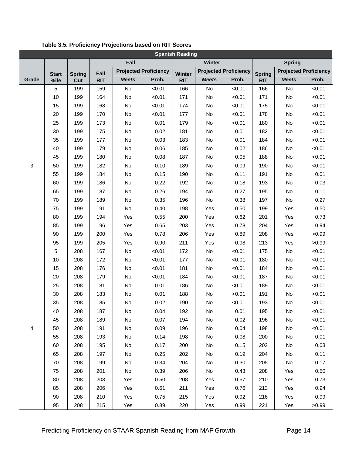| <b>Spanish Reading</b> |              |               |            |                              |        |            |                              |        |               |                              |        |
|------------------------|--------------|---------------|------------|------------------------------|--------|------------|------------------------------|--------|---------------|------------------------------|--------|
|                        | Fall         |               |            |                              | Winter |            | <b>Spring</b>                |        |               |                              |        |
|                        | <b>Start</b> | <b>Spring</b> | Fall       | <b>Projected Proficiency</b> |        | Winter     | <b>Projected Proficiency</b> |        | <b>Spring</b> | <b>Projected Proficiency</b> |        |
| Grade                  | %ile         | Cut           | <b>RIT</b> | <b>Meets</b>                 | Prob.  | <b>RIT</b> | <b>Meets</b>                 | Prob.  | <b>RIT</b>    | <b>Meets</b>                 | Prob.  |
|                        | 5            | 199           | 159        | No                           | < 0.01 | 166        | No                           | < 0.01 | 166           | No                           | < 0.01 |
|                        | 10           | 199           | 164        | No                           | < 0.01 | 171        | No                           | < 0.01 | 171           | No                           | < 0.01 |
|                        | 15           | 199           | 168        | No                           | < 0.01 | 174        | No                           | < 0.01 | 175           | No                           | < 0.01 |
|                        | 20           | 199           | 170        | No                           | < 0.01 | 177        | No                           | < 0.01 | 178           | No                           | < 0.01 |
|                        | 25           | 199           | 173        | No                           | 0.01   | 179        | No                           | < 0.01 | 180           | No                           | < 0.01 |
|                        | 30           | 199           | 175        | No                           | 0.02   | 181        | No                           | 0.01   | 182           | No                           | < 0.01 |
|                        | 35           | 199           | 177        | No                           | 0.03   | 183        | No                           | 0.01   | 184           | No                           | < 0.01 |
|                        | 40           | 199           | 179        | No                           | 0.06   | 185        | No                           | 0.02   | 186           | No                           | < 0.01 |
|                        | 45           | 199           | 180        | No                           | 0.08   | 187        | No                           | 0.05   | 188           | No                           | < 0.01 |
| 3                      | 50           | 199           | 182        | No                           | 0.10   | 189        | No                           | 0.09   | 190           | No                           | < 0.01 |
|                        | 55           | 199           | 184        | No                           | 0.15   | 190        | No                           | 0.11   | 191           | No                           | 0.01   |
|                        | 60           | 199           | 186        | No                           | 0.22   | 192        | No                           | 0.18   | 193           | No                           | 0.03   |
|                        | 65           | 199           | 187        | No                           | 0.26   | 194        | No                           | 0.27   | 195           | No                           | 0.11   |
|                        | 70           | 199           | 189        | No                           | 0.35   | 196        | No                           | 0.38   | 197           | No                           | 0.27   |
|                        | 75           | 199           | 191        | <b>No</b>                    | 0.40   | 198        | Yes                          | 0.50   | 199           | Yes                          | 0.50   |
|                        | 80           | 199           | 194        | Yes                          | 0.55   | 200        | Yes                          | 0.62   | 201           | Yes                          | 0.73   |
|                        | 85           | 199           | 196        | Yes                          | 0.65   | 203        | Yes                          | 0.78   | 204           | Yes                          | 0.94   |
|                        | 90           | 199           | 200        | Yes                          | 0.78   | 206        | Yes                          | 0.89   | 208           | Yes                          | >0.99  |
|                        | 95           | 199           | 205        | Yes                          | 0.90   | 211        | Yes                          | 0.98   | 213           | Yes                          | >0.99  |
|                        | 5            | 208           | 167        | No                           | < 0.01 | 172        | No                           | < 0.01 | 175           | No                           | < 0.01 |
|                        | 10           | 208           | 172        | No                           | < 0.01 | 177        | No                           | < 0.01 | 180           | No                           | < 0.01 |
|                        | 15           | 208           | 176        | No                           | < 0.01 | 181        | No                           | < 0.01 | 184           | No                           | < 0.01 |
|                        | 20           | 208           | 179        | No                           | < 0.01 | 184        | No                           | < 0.01 | 187           | No                           | < 0.01 |
|                        | 25           | 208           | 181        | No                           | 0.01   | 186        | No                           | < 0.01 | 189           | No                           | < 0.01 |
|                        | 30           | 208           | 183        | No                           | 0.01   | 188        | No                           | < 0.01 | 191           | No                           | < 0.01 |
|                        | 35           | 208           | 185        | No                           | 0.02   | 190        | No                           | < 0.01 | 193           | No                           | < 0.01 |
|                        | 40           | 208           | 187        | No                           | 0.04   | 192        | No                           | 0.01   | 195           | No                           | < 0.01 |
|                        | 45           | 208           | 189        | No                           | 0.07   | 194        | No                           | 0.02   | 196           | No                           | < 0.01 |
| 4                      | 50           | 208           | 191        | No                           | 0.09   | 196        | No                           | 0.04   | 198           | No                           | < 0.01 |
|                        | 55           | 208           | 193        | No                           | 0.14   | 198        | No                           | 0.08   | 200           | No                           | 0.01   |
|                        | 60           | 208           | 195        | No                           | 0.17   | 200        | No                           | 0.15   | 202           | No                           | 0.03   |
|                        | 65           | 208           | 197        | No                           | 0.25   | 202        | No                           | 0.19   | 204           | No                           | 0.11   |
|                        | 70           | 208           | 199        | No                           | 0.34   | 204        | No                           | 0.30   | 205           | No                           | 0.17   |
|                        | 75           | 208           | 201        | No                           | 0.39   | 206        | No                           | 0.43   | 208           | Yes                          | 0.50   |
|                        | 80           | 208           | 203        | Yes                          | 0.50   | 208        | Yes                          | 0.57   | 210           | Yes                          | 0.73   |
|                        | 85           | 208           | 206        | Yes                          | 0.61   | 211        | Yes                          | 0.76   | 213           | Yes                          | 0.94   |
|                        | 90           | 208           | 210        | Yes                          | 0.75   | 215        | Yes                          | 0.92   | 216           | Yes                          | 0.99   |
|                        | 95           | 208           | 215        | Yes                          | 0.89   | 220        | Yes                          | 0.99   | 221           | Yes                          | >0.99  |

<span id="page-13-0"></span>**Table 3.5. Proficiency Projections based on RIT Scores**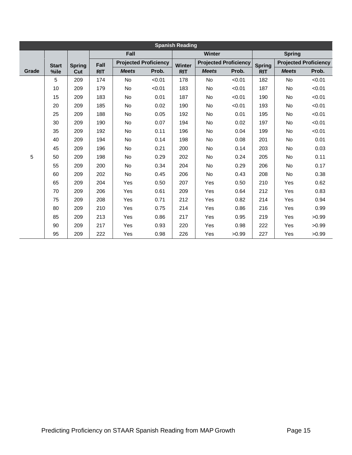| <b>Spanish Reading</b> |              |                      |            |                              |        |            |                              |        |               |                              |        |
|------------------------|--------------|----------------------|------------|------------------------------|--------|------------|------------------------------|--------|---------------|------------------------------|--------|
|                        |              |                      | Fall       |                              |        | Winter     |                              |        | <b>Spring</b> |                              |        |
|                        | <b>Start</b> | <b>Spring</b><br>Cut | Fall       | <b>Projected Proficiency</b> |        | Winter     | <b>Projected Proficiency</b> |        | <b>Spring</b> | <b>Projected Proficiency</b> |        |
| Grade                  | %ile         |                      | <b>RIT</b> | <b>Meets</b>                 | Prob.  | <b>RIT</b> | <b>Meets</b>                 | Prob.  | <b>RIT</b>    | <b>Meets</b>                 | Prob.  |
| 5                      | 5            | 209                  | 174        | No                           | < 0.01 | 178        | <b>No</b>                    | < 0.01 | 182           | <b>No</b>                    | < 0.01 |
|                        | 10           | 209                  | 179        | No                           | < 0.01 | 183        | <b>No</b>                    | < 0.01 | 187           | <b>No</b>                    | < 0.01 |
|                        | 15           | 209                  | 183        | No                           | 0.01   | 187        | No                           | < 0.01 | 190           | No                           | < 0.01 |
|                        | 20           | 209                  | 185        | No                           | 0.02   | 190        | <b>No</b>                    | < 0.01 | 193           | <b>No</b>                    | < 0.01 |
|                        | 25           | 209                  | 188        | No                           | 0.05   | 192        | <b>No</b>                    | 0.01   | 195           | <b>No</b>                    | < 0.01 |
|                        | 30           | 209                  | 190        | No                           | 0.07   | 194        | No                           | 0.02   | 197           | No                           | < 0.01 |
|                        | 35           | 209                  | 192        | No                           | 0.11   | 196        | <b>No</b>                    | 0.04   | 199           | No.                          | < 0.01 |
|                        | 40           | 209                  | 194        | No                           | 0.14   | 198        | <b>No</b>                    | 0.08   | 201           | <b>No</b>                    | 0.01   |
|                        | 45           | 209                  | 196        | No                           | 0.21   | 200        | <b>No</b>                    | 0.14   | 203           | <b>No</b>                    | 0.03   |
|                        | 50           | 209                  | 198        | No                           | 0.29   | 202        | <b>No</b>                    | 0.24   | 205           | No                           | 0.11   |
|                        | 55           | 209                  | 200        | No                           | 0.34   | 204        | <b>No</b>                    | 0.29   | 206           | <b>No</b>                    | 0.17   |
|                        | 60           | 209                  | 202        | No                           | 0.45   | 206        | No                           | 0.43   | 208           | No                           | 0.38   |
|                        | 65           | 209                  | 204        | Yes                          | 0.50   | 207        | Yes                          | 0.50   | 210           | Yes                          | 0.62   |
|                        | 70           | 209                  | 206        | Yes                          | 0.61   | 209        | Yes                          | 0.64   | 212           | Yes                          | 0.83   |
|                        | 75           | 209                  | 208        | Yes                          | 0.71   | 212        | Yes                          | 0.82   | 214           | Yes                          | 0.94   |
|                        | 80           | 209                  | 210        | Yes                          | 0.75   | 214        | <b>Yes</b>                   | 0.86   | 216           | Yes                          | 0.99   |
|                        | 85           | 209                  | 213        | Yes                          | 0.86   | 217        | Yes                          | 0.95   | 219           | Yes                          | >0.99  |
|                        | 90           | 209                  | 217        | Yes                          | 0.93   | 220        | Yes                          | 0.98   | 222           | Yes                          | >0.99  |
|                        | 95           | 209                  | 222        | Yes                          | 0.98   | 226        | Yes                          | >0.99  | 227           | Yes                          | >0.99  |